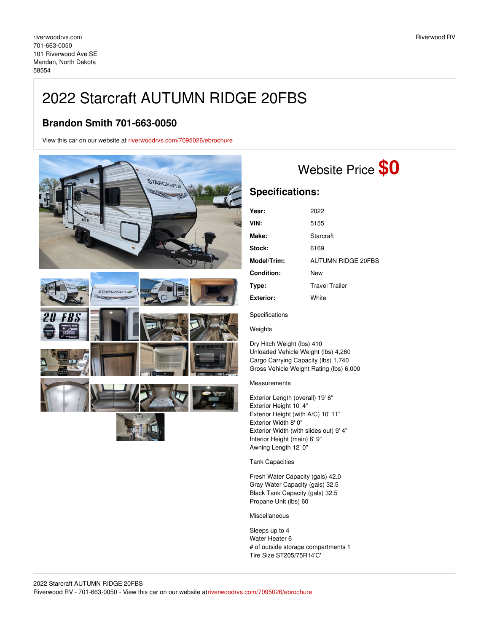## 2022 Starcraft AUTUMN RIDGE 20FBS

## **Brandon Smith 701-663-0050**

View this car on our website at [riverwoodrvs.com/7095026/ebrochure](https://riverwoodrvs.com/vehicle/7095026/2022-starcraft-autumn-ridge-20fbs-mandan-north-dakota-58554/7095026/ebrochure)



## Website Price **\$0**

## **Specifications:**

| Year:            | 2022                  |
|------------------|-----------------------|
| VIN:             | 5155                  |
| Make:            | Starcraft             |
| Stock:           | 6169                  |
| Model/Trim:      | AUTUMN RIDGE 20FBS    |
| Condition:       | New                   |
| Type:            | <b>Travel Trailer</b> |
| <b>Exterior:</b> | White                 |

Specifications

Weights

Dry Hitch Weight (lbs) 410 Unloaded Vehicle Weight (lbs) 4,260 Cargo Carrying Capacity (lbs) 1,740 Gross Vehicle Weight Rating (lbs) 6,000

Measurements

Exterior Length (overall) 19' 6" Exterior Height 10' 4" Exterior Height (with A/C) 10' 11" Exterior Width 8' 0" Exterior Width (with slides out) 9' 4" Interior Height (main) 6' 9" Awning Length 12' 0"

Tank Capacities

Fresh Water Capacity (gals) 42.0 Gray Water Capacity (gals) 32.5 Black Tank Capacity (gals) 32.5 Propane Unit (lbs) 60

Miscellaneous

Sleeps up to 4 Water Heater 6 # of outside storage compartments 1 Tire Size ST205/75R14'C'